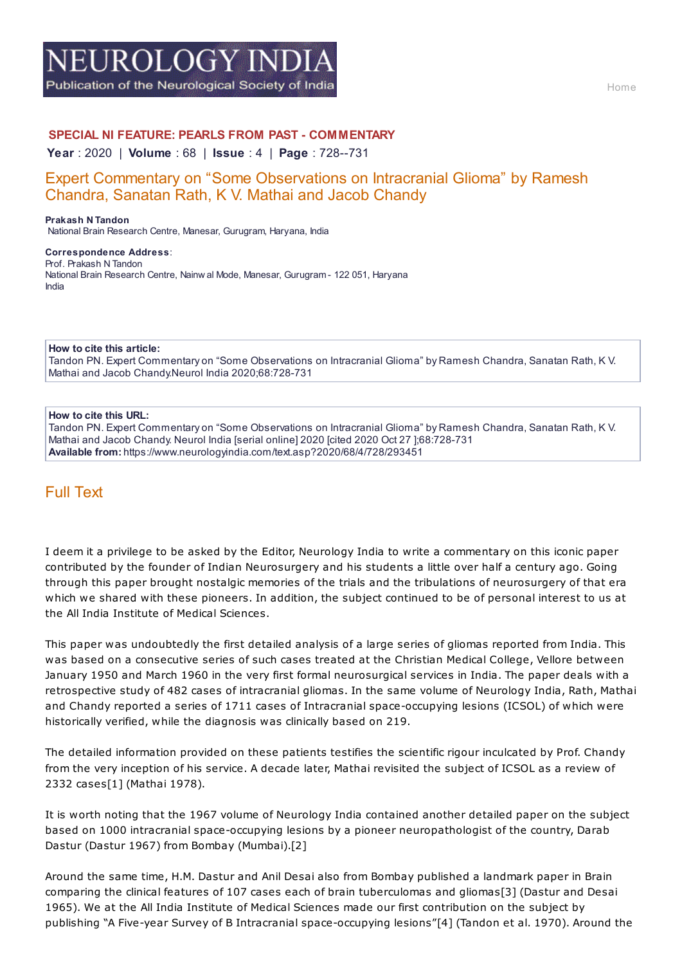# **EUROLOGY IND**

Publication of the Neurological Society of India

## **SPECIAL NI FEATURE: PEARLS FROM PAST - COMMENTARY**

**Year** : 2020 | **Volume** : 68 | **Issue** : 4 | **Page** : 728--731

# Expert Commentary on "Some Observations on Intracranial Glioma" by Ramesh Chandra, Sanatan Rath, K V. Mathai and Jacob Chandy

**Prakash N Tandon** National Brain Research Centre, Manesar, Gurugram, Haryana, India

#### **Correspondence Address**: Prof. Prakash N Tandon National Brain Research Centre, Nainw al Mode, Manesar, Gurugram - 122 051, Haryana India

**How to cite this article:**

Tandon PN. Expert Commentary on "Some Observations on Intracranial Glioma" by Ramesh Chandra, Sanatan Rath, K V. Mathai and Jacob Chandy.Neurol India 2020;68:728-731

#### **How to cite this URL:**

Tandon PN. Expert Commentary on "Some Observations on Intracranial Glioma" by Ramesh Chandra, Sanatan Rath, K V. Mathai and Jacob Chandy. Neurol India [serial online] 2020 [cited 2020 Oct 27 ];68:728-731 **Available from:** https://www.neurologyindia.com/text.asp?2020/68/4/728/293451

# Full Text

I deem it a privilege to be asked by the Editor, Neurology India to write a commentary on this iconic paper contributed by the founder of Indian Neurosurgery and his students a little over half a century ago. Going through this paper brought nostalgic memories of the trials and the tribulations of neurosurgery of that era which we shared with these pioneers. In addition, the subject continued to be of personal interest to us at the All India Institute of Medical Sciences.

This paper was undoubtedly the first detailed analysis of a large series of gliomas reported from India. This was based on a consecutive series of such cases treated at the Christian Medical College, Vellore between January 1950 and March 1960 in the very first formal neurosurgical services in India. The paper deals with a retrospective study of 482 cases of intracranial gliomas. In the same volume of Neurology India, Rath, Mathai and Chandy reported a series of 1711 cases of Intracranial space-occupying lesions (ICSOL) of which were historically verified, while the diagnosis was clinically based on 219.

The detailed information provided on these patients testifies the scientific rigour inculcated by Prof. Chandy from the very inception of his service. A decade later, Mathai revisited the subject of ICSOL as a review of 2332 cases[1] (Mathai 1978).

It is worth noting that the 1967 volume of Neurology India contained another detailed paper on the subject based on 1000 intracranial space-occupying lesions by a pioneer neuropathologist of the country, Darab Dastur (Dastur 1967) from Bombay (Mumbai).[2]

Around the same time, H.M. Dastur and Anil Desai also from Bombay published a landmark paper in Brain comparing the clinical features of 107 cases each of brain tuberculomas and gliomas[3] (Dastur and Desai 1965). We at the All India Institute of Medical Sciences made our first contribution on the subject by publishing "A Five-year Survey of B Intracranial space-occupying lesions"[4] (Tandon et al. 1970). Around the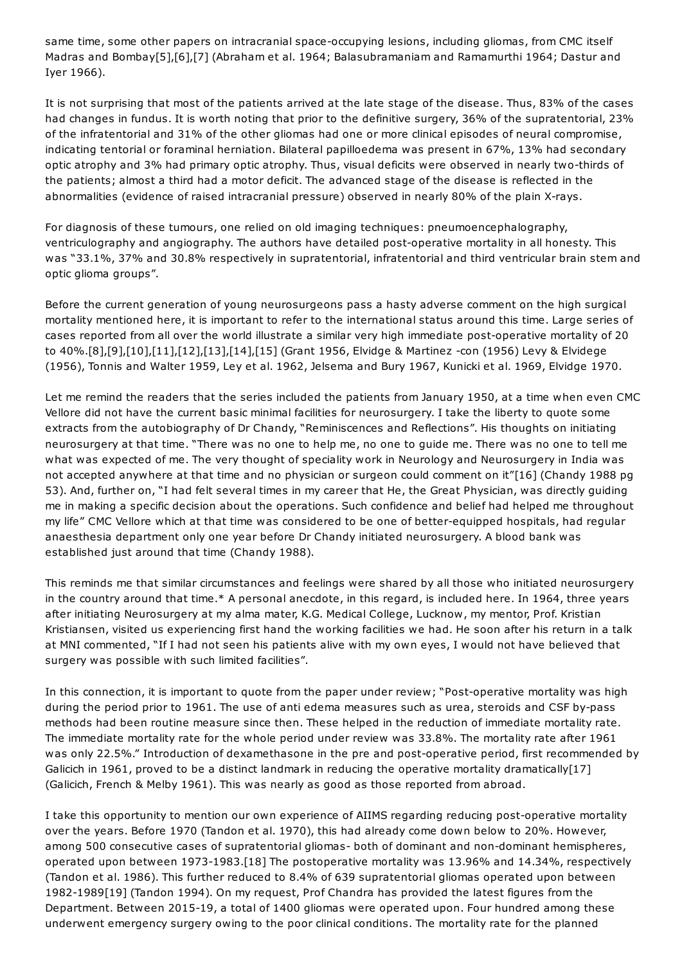same time, some other papers on intracranial space-occupying lesions, including gliomas, from CMC itself Madras and Bombay[5],[6],[7] (Abraham et al. 1964; Balasubramaniam and Ramamurthi 1964; Dastur and Iyer 1966).

It is not surprising that most of the patients arrived at the late stage of the disease. Thus, 83% of the cases had changes in fundus. It is worth noting that prior to the definitive surgery, 36% of the supratentorial, 23% of the infratentorial and 31% of the other gliomas had one or more clinical episodes of neural compromise, indicating tentorial or foraminal herniation. Bilateral papilloedema was present in 67%, 13% had secondary optic atrophy and 3% had primary optic atrophy. Thus, visual deficits were observed in nearly two-thirds of the patients; almost a third had a motor deficit. The advanced stage of the disease is reflected in the abnormalities (evidence of raised intracranial pressure) observed in nearly 80% of the plain X-rays.

For diagnosis of these tumours, one relied on old imaging techniques: pneumoencephalography, ventriculography and angiography. The authors have detailed post-operative mortality in all honesty. This was "33.1%, 37% and 30.8% respectively in supratentorial, infratentorial and third ventricular brain stem and optic glioma groups".

Before the current generation of young neurosurgeons pass a hasty adverse comment on the high surgical mortality mentioned here, it is important to refer to the international status around this time. Large series of cases reported from all over the world illustrate a similar very high immediate post-operative mortality of 20 to 40%.[8],[9],[10],[11],[12],[13],[14],[15] (Grant 1956, Elvidge & Martinez -con (1956) Levy & Elvidege (1956), Tonnis and Walter 1959, Ley et al. 1962, Jelsema and Bury 1967, Kunicki et al. 1969, Elvidge 1970.

Let me remind the readers that the series included the patients from January 1950, at a time when even CMC Vellore did not have the current basic minimal facilities for neurosurgery. I take the liberty to quote some extracts from the autobiography of Dr Chandy, "Reminiscences and Reflections". His thoughts on initiating neurosurgery at that time. "There was no one to help me, no one to guide me. There was no one to tell me what was expected of me. The very thought of speciality work in Neurology and Neurosurgery in India was not accepted anywhere at that time and no physician or surgeon could comment on it"[16] (Chandy 1988 pg 53). And, further on, "I had felt several times in my career that He, the Great Physician, was directly guiding me in making a specific decision about the operations. Such confidence and belief had helped me throughout my life" CMC Vellore which at that time was considered to be one of better-equipped hospitals, had regular anaesthesia department only one year before Dr Chandy initiated neurosurgery. A blood bank was established just around that time (Chandy 1988).

This reminds me that similar circumstances and feelings were shared by all those who initiated neurosurgery in the country around that time.\* A personal anecdote, in this regard, is included here. In 1964, three years after initiating Neurosurgery at my alma mater, K.G. Medical College, Lucknow, my mentor, Prof. Kristian Kristiansen, visited us experiencing first hand the working facilities we had. He soon after his return in a talk at MNI commented, "If I had not seen his patients alive with my own eyes, I would not have believed that surgery was possible with such limited facilities".

In this connection, it is important to quote from the paper under review; "Post-operative mortality was high during the period prior to 1961. The use of anti edema measures such as urea, steroids and CSF by-pass methods had been routine measure since then. These helped in the reduction of immediate mortality rate. The immediate mortality rate for the whole period under review was 33.8%. The mortality rate after 1961 was only 22.5%." Introduction of dexamethasone in the pre and post-operative period, first recommended by Galicich in 1961, proved to be a distinct landmark in reducing the operative mortality dramatically[17] (Galicich, French & Melby 1961). This was nearly as good as those reported from abroad.

I take this opportunity to mention our own experience of AIIMS regarding reducing post-operative mortality over the years. Before 1970 (Tandon et al. 1970), this had already come down below to 20%. However, among 500 consecutive cases of supratentorial gliomas- both of dominant and non-dominant hemispheres, operated upon between 1973-1983.[18] The postoperative mortality was 13.96% and 14.34%, respectively (Tandon et al. 1986). This further reduced to 8.4% of 639 supratentorial gliomas operated upon between 1982-1989[19] (Tandon 1994). On my request, Prof Chandra has provided the latest figures from the Department. Between 2015-19, a total of 1400 gliomas were operated upon. Four hundred among these underwent emergency surgery owing to the poor clinical conditions. The mortality rate for the planned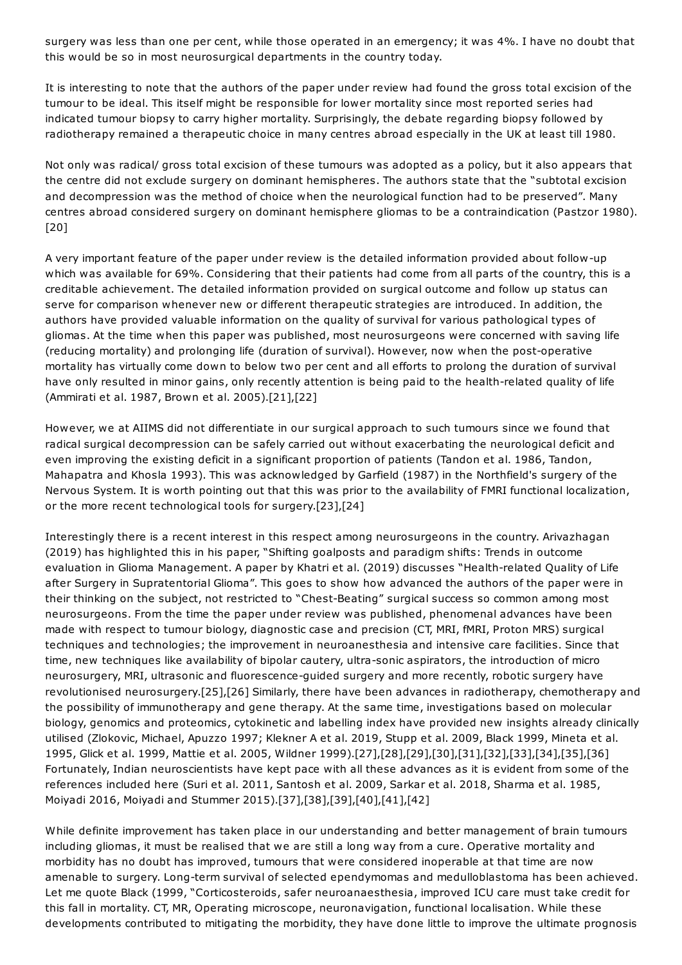surgery was less than one per cent, while those operated in an emergency; it was 4%. I have no doubt that this would be so in most neurosurgical departments in the country today.

It is interesting to note that the authors of the paper under review had found the gross total excision of the tumour to be ideal. This itself might be responsible for lower mortality since most reported series had indicated tumour biopsy to carry higher mortality. Surprisingly, the debate regarding biopsy followed by radiotherapy remained a therapeutic choice in many centres abroad especially in the UK at least till 1980.

Not only was radical/ gross total excision of these tumours was adopted as a policy, but it also appears that the centre did not exclude surgery on dominant hemispheres. The authors state that the "subtotal excision and decompression was the method of choice when the neurological function had to be preserved". Many centres abroad considered surgery on dominant hemisphere gliomas to be a contraindication (Pastzor 1980). [20]

A very important feature of the paper under review is the detailed information provided about follow-up which was available for 69%. Considering that their patients had come from all parts of the country, this is a creditable achievement. The detailed information provided on surgical outcome and follow up status can serve for comparison whenever new or different therapeutic strategies are introduced. In addition, the authors have provided valuable information on the quality of survival for various pathological types of gliomas. At the time when this paper was published, most neurosurgeons were concerned with saving life (reducing mortality) and prolonging life (duration of survival). However, now when the post-operative mortality has virtually come down to below two per cent and all efforts to prolong the duration of survival have only resulted in minor gains, only recently attention is being paid to the health-related quality of life (Ammirati et al. 1987, Brown et al. 2005).[21],[22]

However, we at AIIMS did not differentiate in our surgical approach to such tumours since we found that radical surgical decompression can be safely carried out without exacerbating the neurological deficit and even improving the existing deficit in a significant proportion of patients (Tandon et al. 1986, Tandon, Mahapatra and Khosla 1993). This was acknowledged by Garfield (1987) in the Northfield's surgery of the Nervous System. It is worth pointing out that this was prior to the availability of FMRI functional localization, or the more recent technological tools for surgery.[23],[24]

Interestingly there is a recent interest in this respect among neurosurgeons in the country. Arivazhagan (2019) has highlighted this in his paper, "Shifting goalposts and paradigm shifts: Trends in outcome evaluation in Glioma Management. A paper by Khatri et al. (2019) discusses "Health-related Quality of Life after Surgery in Supratentorial Glioma". This goes to show how advanced the authors of the paper were in their thinking on the subject, not restricted to "Chest-Beating" surgical success so common among most neurosurgeons. From the time the paper under review was published, phenomenal advances have been made with respect to tumour biology, diagnostic case and precision (CT, MRI, fMRI, Proton MRS) surgical techniques and technologies; the improvement in neuroanesthesia and intensive care facilities. Since that time, new techniques like availability of bipolar cautery, ultra-sonic aspirators, the introduction of micro neurosurgery, MRI, ultrasonic and fluorescence-guided surgery and more recently, robotic surgery have revolutionised neurosurgery.[25],[26] Similarly, there have been advances in radiotherapy, chemotherapy and the possibility of immunotherapy and gene therapy. At the same time, investigations based on molecular biology, genomics and proteomics, cytokinetic and labelling index have provided new insights already clinically utilised (Zlokovic, Michael, Apuzzo 1997; Klekner A et al. 2019, Stupp et al. 2009, Black 1999, Mineta et al. 1995, Glick et al. 1999, Mattie et al. 2005, Wildner 1999).[27],[28],[29],[30],[31],[32],[33],[34],[35],[36] Fortunately, Indian neuroscientists have kept pace with all these advances as it is evident from some of the references included here (Suri et al. 2011, Santosh et al. 2009, Sarkar et al. 2018, Sharma et al. 1985, Moiyadi 2016, Moiyadi and Stummer 2015).[37],[38],[39],[40],[41],[42]

While definite improvement has taken place in our understanding and better management of brain tumours including gliomas, it must be realised that we are still a long way from a cure. Operative mortality and morbidity has no doubt has improved, tumours that were considered inoperable at that time are now amenable to surgery. Long-term survival of selected ependymomas and medulloblastoma has been achieved. Let me quote Black (1999, "Corticosteroids, safer neuroanaesthesia, improved ICU care must take credit for this fall in mortality. CT, MR, Operating microscope, neuronavigation, functional localisation. While these developments contributed to mitigating the morbidity, they have done little to improve the ultimate prognosis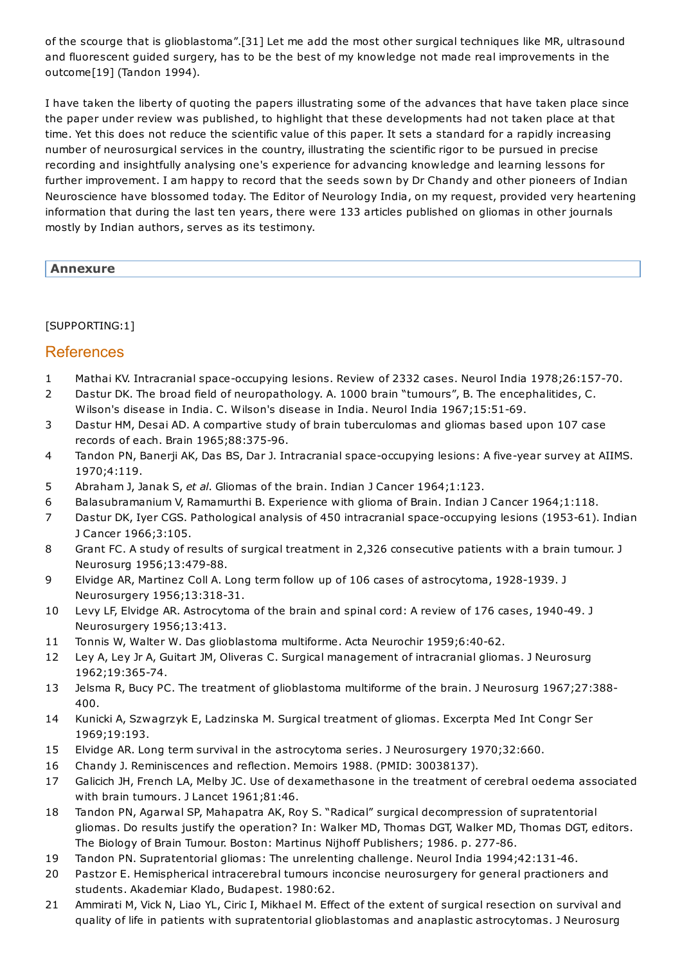of the scourge that is glioblastoma".[31] Let me add the most other surgical techniques like MR, ultrasound and fluorescent guided surgery, has to be the best of my knowledge not made real improvements in the outcome[19] (Tandon 1994).

I have taken the liberty of quoting the papers illustrating some of the advances that have taken place since the paper under review was published, to highlight that these developments had not taken place at that time. Yet this does not reduce the scientific value of this paper. It sets a standard for a rapidly increasing number of neurosurgical services in the country, illustrating the scientific rigor to be pursued in precise recording and insightfully analysing one's experience for advancing knowledge and learning lessons for further improvement. I am happy to record that the seeds sown by Dr Chandy and other pioneers of Indian Neuroscience have blossomed today. The Editor of Neurology India, on my request, provided very heartening information that during the last ten years, there were 133 articles published on gliomas in other journals mostly by Indian authors, serves as its testimony.

## **Annexure**

## [SUPPORTING:1]

# References

- 1 Mathai KV. Intracranial space-occupying lesions. Review of 2332 cases. Neurol India 1978;26:157-70.
- 2 Dastur DK. The broad field of neuropathology. A. 1000 brain "tumours", B. The encephalitides, C. Wilson's disease in India. C. Wilson's disease in India. Neurol India 1967;15:51-69.
- 3 Dastur HM, Desai AD. A compartive study of brain tuberculomas and gliomas based upon 107 case records of each. Brain 1965;88:375-96.
- 4 Tandon PN, Banerji AK, Das BS, Dar J. Intracranial space-occupying lesions: A five-year survey at AIIMS. 1970;4:119.
- 5 Abraham J, Janak S, *et al*. Gliomas of the brain. Indian J Cancer 1964;1:123.
- 6 Balasubramanium V, Ramamurthi B. Experience with glioma of Brain. Indian J Cancer 1964;1:118.
- 7 Dastur DK, Iyer CGS. Pathological analysis of 450 intracranial space-occupying lesions (1953-61). Indian J Cancer 1966;3:105.
- 8 Grant FC. A study of results of surgical treatment in 2,326 consecutive patients with a brain tumour. J Neurosurg 1956;13:479-88.
- 9 Elvidge AR, Martinez Coll A. Long term follow up of 106 cases of astrocytoma, 1928-1939. J Neurosurgery 1956;13:318-31.
- 10 Levy LF, Elvidge AR. Astrocytoma of the brain and spinal cord: A review of 176 cases, 1940-49. J Neurosurgery 1956;13:413.
- 11 Tonnis W, Walter W. Das glioblastoma multiforme. Acta Neurochir 1959;6:40-62.
- 12 Ley A, Ley Jr A, Guitart JM, Oliveras C. Surgical management of intracranial gliomas. J Neurosurg 1962;19:365-74.
- 13 Jelsma R, Bucy PC. The treatment of glioblastoma multiforme of the brain. J Neurosurg 1967;27:388- 400.
- 14 Kunicki A, Szwagrzyk E, Ladzinska M. Surgical treatment of gliomas. Excerpta Med Int Congr Ser 1969;19:193.
- 15 Elvidge AR. Long term survival in the astrocytoma series. J Neurosurgery 1970;32:660.
- 16 Chandy J. Reminiscences and reflection. Memoirs 1988. (PMID: 30038137).
- 17 Galicich JH, French LA, Melby JC. Use of dexamethasone in the treatment of cerebral oedema associated with brain tumours. J Lancet 1961;81:46.
- 18 Tandon PN, Agarwal SP, Mahapatra AK, Roy S. "Radical" surgical decompression of supratentorial gliomas. Do results justify the operation? In: Walker MD, Thomas DGT, Walker MD, Thomas DGT, editors. The Biology of Brain Tumour. Boston: Martinus Nijhoff Publishers; 1986. p. 277-86.
- 19 Tandon PN. Supratentorial gliomas: The unrelenting challenge. Neurol India 1994;42:131-46.
- 20 Pastzor E. Hemispherical intracerebral tumours inconcise neurosurgery for general practioners and students. Akademiar Klado, Budapest. 1980:62.
- 21 Ammirati M, Vick N, Liao YL, Ciric I, Mikhael M. Effect of the extent of surgical resection on survival and quality of life in patients with supratentorial glioblastomas and anaplastic astrocytomas. J Neurosurg